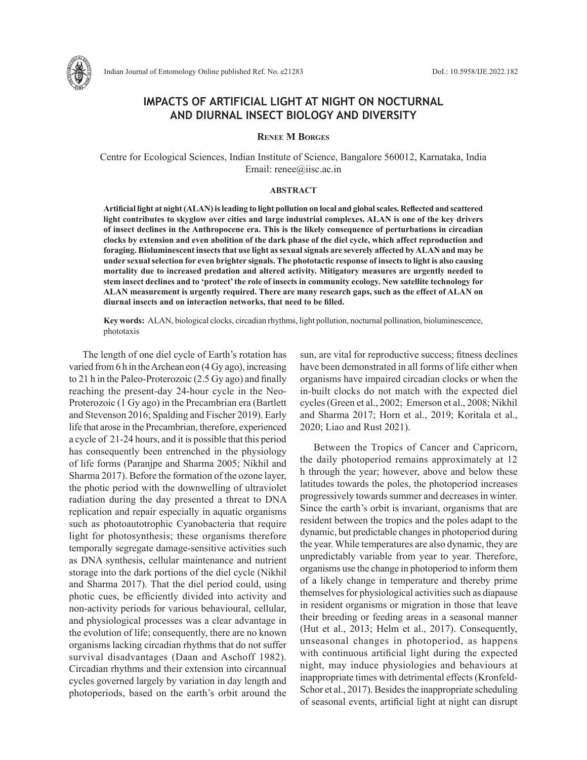

# **IMPACTS OF ARTIFICIAL LIGHT AT NIGHT ON NOCTURNAL AND DIURNAL INSECT BIOLOGY AND DIVERSITY**

**Renee M Borges**

Centre for Ecological Sciences, Indian Institute of Science, Bangalore 560012, Karnataka, India Email: renee@iisc.ac.in

### **ABSTRACT**

**Artificial light at night (ALAN) is leading to light pollution on local and global scales. Reflected and scattered light contributes to skyglow over cities and large industrial complexes. ALAN is one of the key drivers of insect declines in the Anthropocene era. This is the likely consequence of perturbations in circadian clocks by extension and even abolition of the dark phase of the diel cycle, which affect reproduction and foraging. Bioluminescent insects that use light as sexual signals are severely affected by ALAN and may be under sexual selection for even brighter signals. The phototactic response of insects to light is also causing mortality due to increased predation and altered activity. Mitigatory measures are urgently needed to stem insect declines and to 'protect' the role of insects in community ecology. New satellite technology for ALAN measurement is urgently required. There are many research gaps, such as the effect of ALAN on diurnal insects and on interaction networks, that need to be filled.**

**Key words:** ALAN, biological clocks, circadian rhythms, light pollution, nocturnal pollination, bioluminescence, phototaxis

The length of one diel cycle of Earth's rotation has varied from 6 h in the Archean eon (4 Gy ago), increasing to 21 h in the Paleo-Proterozoic (2.5 Gy ago) and finally reaching the present-day 24-hour cycle in the Neo-Proterozoic (1 Gy ago) in the Precambrian era (Bartlett and Stevenson 2016; Spalding and Fischer 2019). Early life that arose in the Precambrian, therefore, experienced a cycle of 21-24 hours, and it is possible that this period has consequently been entrenched in the physiology of life forms (Paranjpe and Sharma 2005; Nikhil and Sharma 2017). Before the formation of the ozone layer, the photic period with the downwelling of ultraviolet radiation during the day presented a threat to DNA replication and repair especially in aquatic organisms such as photoautotrophic Cyanobacteria that require light for photosynthesis; these organisms therefore temporally segregate damage-sensitive activities such as DNA synthesis, cellular maintenance and nutrient storage into the dark portions of the diel cycle (Nikhil and Sharma 2017). That the diel period could, using photic cues, be efficiently divided into activity and non-activity periods for various behavioural, cellular, and physiological processes was a clear advantage in the evolution of life; consequently, there are no known organisms lacking circadian rhythms that do not suffer survival disadvantages (Daan and Aschoff 1982). Circadian rhythms and their extension into circannual cycles governed largely by variation in day length and photoperiods, based on the earth's orbit around the

sun, are vital for reproductive success; fitness declines have been demonstrated in all forms of life either when organisms have impaired circadian clocks or when the in-built clocks do not match with the expected diel cycles (Green et al., 2002; Emerson et al., 2008; Nikhil and Sharma 2017; Horn et al., 2019; Koritala et al., 2020; Liao and Rust 2021).

Between the Tropics of Cancer and Capricorn, the daily photoperiod remains approximately at 12 h through the year; however, above and below these latitudes towards the poles, the photoperiod increases progressively towards summer and decreases in winter. Since the earth's orbit is invariant, organisms that are resident between the tropics and the poles adapt to the dynamic, but predictable changes in photoperiod during the year. While temperatures are also dynamic, they are unpredictably variable from year to year. Therefore, organisms use the change in photoperiod to inform them of a likely change in temperature and thereby prime themselves for physiological activities such as diapause in resident organisms or migration in those that leave their breeding or feeding areas in a seasonal manner (Hut et al., 2013; Helm et al., 2017). Consequently, unseasonal changes in photoperiod, as happens with continuous artificial light during the expected night, may induce physiologies and behaviours at inappropriate times with detrimental effects (Kronfeld-Schor et al., 2017). Besides the inappropriate scheduling of seasonal events, artificial light at night can disrupt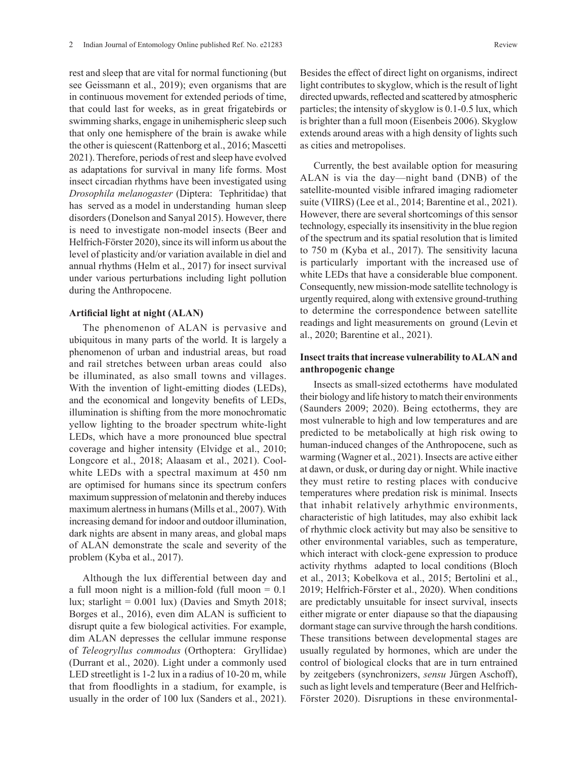rest and sleep that are vital for normal functioning (but see Geissmann et al., 2019); even organisms that are in continuous movement for extended periods of time, that could last for weeks, as in great frigatebirds or swimming sharks, engage in unihemispheric sleep such that only one hemisphere of the brain is awake while the other is quiescent (Rattenborg et al., 2016; Mascetti 2021). Therefore, periods of rest and sleep have evolved as adaptations for survival in many life forms. Most insect circadian rhythms have been investigated using *Drosophila melanogaster* (Diptera: Tephritidae) that has served as a model in understanding human sleep disorders (Donelson and Sanyal 2015). However, there is need to investigate non-model insects (Beer and Helfrich-Förster 2020), since its will inform us about the level of plasticity and/or variation available in diel and annual rhythms (Helm et al., 2017) for insect survival under various perturbations including light pollution during the Anthropocene.

### **Artificial light at night (ALAN)**

The phenomenon of ALAN is pervasive and ubiquitous in many parts of the world. It is largely a phenomenon of urban and industrial areas, but road and rail stretches between urban areas could also be illuminated, as also small towns and villages. With the invention of light-emitting diodes (LEDs), and the economical and longevity benefits of LEDs, illumination is shifting from the more monochromatic yellow lighting to the broader spectrum white-light LEDs, which have a more pronounced blue spectral coverage and higher intensity (Elvidge et al., 2010; Longcore et al., 2018; Alaasam et al., 2021). Coolwhite LEDs with a spectral maximum at 450 nm are optimised for humans since its spectrum confers maximum suppression of melatonin and thereby induces maximum alertness in humans (Mills et al., 2007). With increasing demand for indoor and outdoor illumination, dark nights are absent in many areas, and global maps of ALAN demonstrate the scale and severity of the problem (Kyba et al., 2017).

Although the lux differential between day and a full moon night is a million-fold (full moon = 0.1 lux; starlight  $= 0.001$  lux) (Davies and Smyth 2018; Borges et al., 2016), even dim ALAN is sufficient to disrupt quite a few biological activities. For example, dim ALAN depresses the cellular immune response of *Teleogryllus commodus* (Orthoptera: Gryllidae) (Durrant et al., 2020). Light under a commonly used LED streetlight is 1-2 lux in a radius of 10-20 m, while that from floodlights in a stadium, for example, is usually in the order of 100 lux (Sanders et al., 2021).

Besides the effect of direct light on organisms, indirect light contributes to skyglow, which is the result of light directed upwards, reflected and scattered by atmospheric particles; the intensity of skyglow is 0.1-0.5 lux, which is brighter than a full moon (Eisenbeis 2006). Skyglow extends around areas with a high density of lights such as cities and metropolises.

Currently, the best available option for measuring ALAN is via the day—night band (DNB) of the satellite-mounted visible infrared imaging radiometer suite (VIIRS) (Lee et al., 2014; Barentine et al., 2021). However, there are several shortcomings of this sensor technology, especially its insensitivity in the blue region of the spectrum and its spatial resolution that is limited to 750 m (Kyba et al., 2017). The sensitivity lacuna is particularly important with the increased use of white LEDs that have a considerable blue component. Consequently, new mission-mode satellite technology is urgently required, along with extensive ground-truthing to determine the correspondence between satellite readings and light measurements on ground (Levin et al., 2020; Barentine et al., 2021).

## **Insect traits that increase vulnerability to ALAN and anthropogenic change**

Insects as small-sized ectotherms have modulated their biology and life history to match their environments (Saunders 2009; 2020). Being ectotherms, they are most vulnerable to high and low temperatures and are predicted to be metabolically at high risk owing to human-induced changes of the Anthropocene, such as warming (Wagner et al., 2021). Insects are active either at dawn, or dusk, or during day or night. While inactive they must retire to resting places with conducive temperatures where predation risk is minimal. Insects that inhabit relatively arhythmic environments, characteristic of high latitudes, may also exhibit lack of rhythmic clock activity but may also be sensitive to other environmental variables, such as temperature, which interact with clock-gene expression to produce activity rhythms adapted to local conditions (Bloch et al., 2013; Kobelkova et al., 2015; Bertolini et al., 2019; Helfrich-Förster et al., 2020). When conditions are predictably unsuitable for insect survival, insects either migrate or enter diapause so that the diapausing dormant stage can survive through the harsh conditions. These transitions between developmental stages are usually regulated by hormones, which are under the control of biological clocks that are in turn entrained by zeitgebers (synchronizers, *sensu* Jürgen Aschoff), such as light levels and temperature (Beer and Helfrich-Förster 2020). Disruptions in these environmental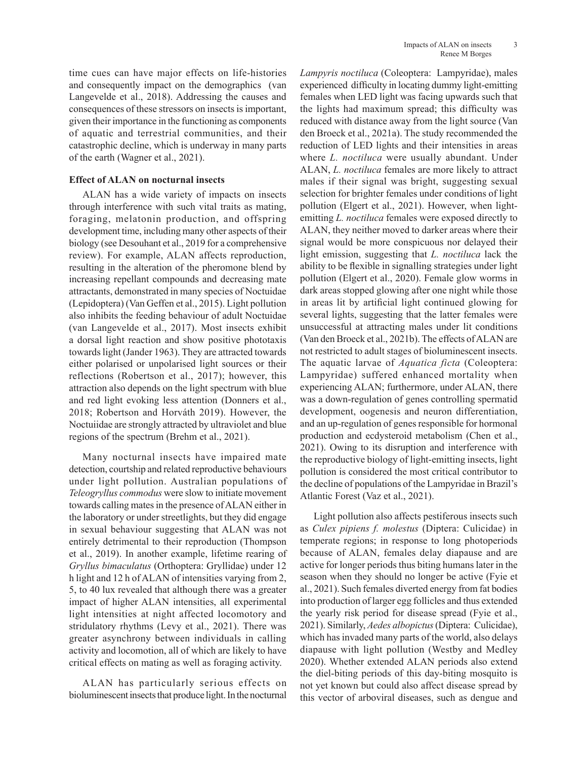time cues can have major effects on life-histories and consequently impact on the demographics (van Langevelde et al., 2018). Addressing the causes and consequences of these stressors on insects is important, given their importance in the functioning as components of aquatic and terrestrial communities, and their catastrophic decline, which is underway in many parts of the earth (Wagner et al., 2021).

## **Effect of ALAN on nocturnal insects**

ALAN has a wide variety of impacts on insects through interference with such vital traits as mating, foraging, melatonin production, and offspring development time, including many other aspects of their biology (see Desouhant et al., 2019 for a comprehensive review). For example, ALAN affects reproduction, resulting in the alteration of the pheromone blend by increasing repellant compounds and decreasing mate attractants, demonstrated in many species of Noctuidae (Lepidoptera) (Van Geffen et al., 2015). Light pollution also inhibits the feeding behaviour of adult Noctuidae (van Langevelde et al., 2017). Most insects exhibit a dorsal light reaction and show positive phototaxis towards light (Jander 1963). They are attracted towards either polarised or unpolarised light sources or their reflections (Robertson et al., 2017); however, this attraction also depends on the light spectrum with blue and red light evoking less attention (Donners et al., 2018; Robertson and Horváth 2019). However, the Noctuiidae are strongly attracted by ultraviolet and blue regions of the spectrum (Brehm et al., 2021).

Many nocturnal insects have impaired mate detection, courtship and related reproductive behaviours under light pollution. Australian populations of *Teleogryllus commodus* were slow to initiate movement towards calling mates in the presence of ALAN either in the laboratory or under streetlights, but they did engage in sexual behaviour suggesting that ALAN was not entirely detrimental to their reproduction (Thompson et al., 2019). In another example, lifetime rearing of *Gryllus bimaculatus* (Orthoptera: Gryllidae) under 12 h light and 12 h of ALAN of intensities varying from 2, 5, to 40 lux revealed that although there was a greater impact of higher ALAN intensities, all experimental light intensities at night affected locomotory and stridulatory rhythms (Levy et al., 2021). There was greater asynchrony between individuals in calling activity and locomotion, all of which are likely to have critical effects on mating as well as foraging activity.

ALAN has particularly serious effects on bioluminescent insects that produce light. In the nocturnal *Lampyris noctiluca* (Coleoptera: Lampyridae), males experienced difficulty in locating dummy light-emitting females when LED light was facing upwards such that the lights had maximum spread; this difficulty was reduced with distance away from the light source (Van den Broeck et al., 2021a). The study recommended the reduction of LED lights and their intensities in areas where *L. noctiluca* were usually abundant. Under ALAN, *L. noctiluca* females are more likely to attract males if their signal was bright, suggesting sexual selection for brighter females under conditions of light pollution (Elgert et al., 2021). However, when lightemitting *L. noctiluca* females were exposed directly to ALAN, they neither moved to darker areas where their signal would be more conspicuous nor delayed their light emission, suggesting that *L. noctiluca* lack the ability to be flexible in signalling strategies under light pollution (Elgert et al., 2020). Female glow worms in dark areas stopped glowing after one night while those in areas lit by artificial light continued glowing for several lights, suggesting that the latter females were unsuccessful at attracting males under lit conditions (Van den Broeck et al., 2021b). The effects of ALAN are not restricted to adult stages of bioluminescent insects. The aquatic larvae of *Aquatica ficta* (Coleoptera: Lampyridae) suffered enhanced mortality when experiencing ALAN; furthermore, under ALAN, there was a down-regulation of genes controlling spermatid development, oogenesis and neuron differentiation, and an up-regulation of genes responsible for hormonal production and ecdysteroid metabolism (Chen et al., 2021). Owing to its disruption and interference with the reproductive biology of light-emitting insects, light pollution is considered the most critical contributor to the decline of populations of the Lampyridae in Brazil's Atlantic Forest (Vaz et al., 2021).

Light pollution also affects pestiferous insects such as *Culex pipiens f. molestus* (Diptera: Culicidae) in temperate regions; in response to long photoperiods because of ALAN, females delay diapause and are active for longer periods thus biting humans later in the season when they should no longer be active (Fyie et al., 2021). Such females diverted energy from fat bodies into production of larger egg follicles and thus extended the yearly risk period for disease spread (Fyie et al., 2021). Similarly, *Aedes albopictus* (Diptera: Culicidae), which has invaded many parts of the world, also delays diapause with light pollution (Westby and Medley 2020). Whether extended ALAN periods also extend the diel-biting periods of this day-biting mosquito is not yet known but could also affect disease spread by this vector of arboviral diseases, such as dengue and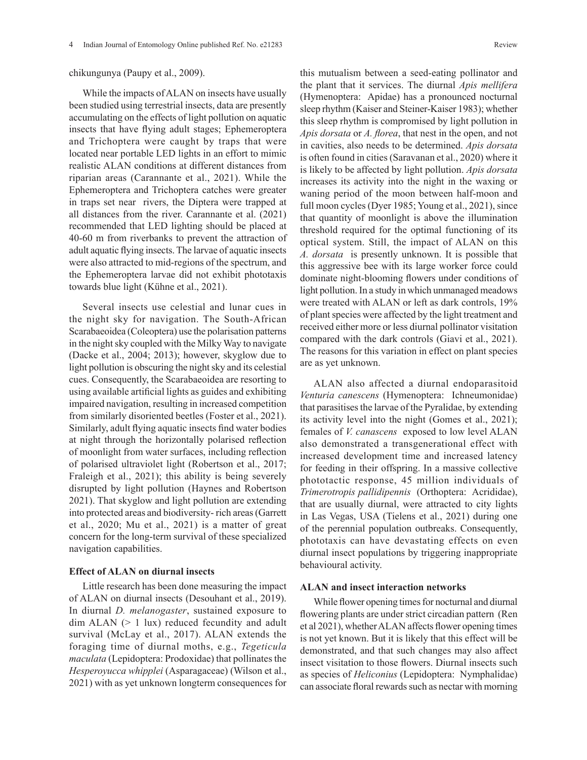#### chikungunya (Paupy et al., 2009).

While the impacts of ALAN on insects have usually been studied using terrestrial insects, data are presently accumulating on the effects of light pollution on aquatic insects that have flying adult stages; Ephemeroptera and Trichoptera were caught by traps that were located near portable LED lights in an effort to mimic realistic ALAN conditions at different distances from riparian areas (Carannante et al., 2021). While the Ephemeroptera and Trichoptera catches were greater in traps set near rivers, the Diptera were trapped at all distances from the river. Carannante et al. (2021) recommended that LED lighting should be placed at 40-60 m from riverbanks to prevent the attraction of adult aquatic flying insects. The larvae of aquatic insects were also attracted to mid-regions of the spectrum, and the Ephemeroptera larvae did not exhibit phototaxis towards blue light (Kühne et al., 2021).

Several insects use celestial and lunar cues in the night sky for navigation. The South-African Scarabaeoidea (Coleoptera) use the polarisation patterns in the night sky coupled with the Milky Way to navigate (Dacke et al., 2004; 2013); however, skyglow due to light pollution is obscuring the night sky and its celestial cues. Consequently, the Scarabaeoidea are resorting to using available artificial lights as guides and exhibiting impaired navigation, resulting in increased competition from similarly disoriented beetles (Foster et al., 2021). Similarly, adult flying aquatic insects find water bodies at night through the horizontally polarised reflection of moonlight from water surfaces, including reflection of polarised ultraviolet light (Robertson et al., 2017; Fraleigh et al., 2021); this ability is being severely disrupted by light pollution (Haynes and Robertson 2021). That skyglow and light pollution are extending into protected areas and biodiversity- rich areas (Garrett et al., 2020; Mu et al., 2021) is a matter of great concern for the long-term survival of these specialized navigation capabilities.

### **Effect of ALAN on diurnal insects**

Little research has been done measuring the impact of ALAN on diurnal insects (Desouhant et al., 2019). In diurnal *D. melanogaster*, sustained exposure to dim ALAN (> 1 lux) reduced fecundity and adult survival (McLay et al., 2017). ALAN extends the foraging time of diurnal moths, e.g., *Tegeticula maculata* (Lepidoptera: Prodoxidae) that pollinates the *Hesperoyucca whipplei* (Asparagaceae) (Wilson et al., 2021) with as yet unknown longterm consequences for

this mutualism between a seed-eating pollinator and the plant that it services. The diurnal *Apis mellifera* (Hymenoptera: Apidae) has a pronounced nocturnal sleep rhythm (Kaiser and Steiner-Kaiser 1983); whether this sleep rhythm is compromised by light pollution in *Apis dorsata* or *A. florea*, that nest in the open, and not in cavities, also needs to be determined. *Apis dorsata* is often found in cities (Saravanan et al., 2020) where it is likely to be affected by light pollution. *Apis dorsata* increases its activity into the night in the waxing or waning period of the moon between half-moon and full moon cycles (Dyer 1985; Young et al., 2021), since that quantity of moonlight is above the illumination threshold required for the optimal functioning of its optical system. Still, the impact of ALAN on this *A. dorsata* is presently unknown. It is possible that this aggressive bee with its large worker force could dominate night-blooming flowers under conditions of light pollution. In a study in which unmanaged meadows were treated with ALAN or left as dark controls, 19% of plant species were affected by the light treatment and received either more or less diurnal pollinator visitation compared with the dark controls (Giavi et al., 2021). The reasons for this variation in effect on plant species are as yet unknown.

ALAN also affected a diurnal endoparasitoid *Venturia canescens* (Hymenoptera: Ichneumonidae) that parasitises the larvae of the Pyralidae, by extending its activity level into the night (Gomes et al., 2021); females of *V. canascens* exposed to low level ALAN also demonstrated a transgenerational effect with increased development time and increased latency for feeding in their offspring. In a massive collective phototactic response, 45 million individuals of *Trimerotropis pallidipennis* (Orthoptera: Acrididae), that are usually diurnal, were attracted to city lights in Las Vegas, USA (Tielens et al., 2021) during one of the perennial population outbreaks. Consequently, phototaxis can have devastating effects on even diurnal insect populations by triggering inappropriate behavioural activity.

#### **ALAN and insect interaction networks**

While flower opening times for nocturnal and diurnal flowering plants are under strict circadian pattern (Ren et al 2021), whether ALAN affects flower opening times is not yet known. But it is likely that this effect will be demonstrated, and that such changes may also affect insect visitation to those flowers. Diurnal insects such as species of *Heliconius* (Lepidoptera: Nymphalidae) can associate floral rewards such as nectar with morning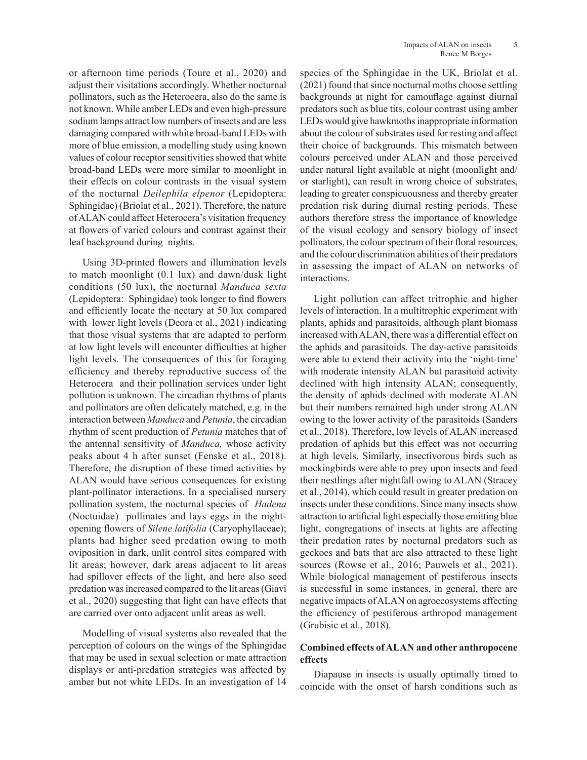or afternoon time periods (Toure et al., 2020) and adjust their visitations accordingly. Whether nocturnal pollinators, such as the Heterocera, also do the same is not known. While amber LEDs and even high-pressure sodium lamps attract low numbers of insects and are less damaging compared with white broad-band LEDs with more of blue emission, a modelling study using known values of colour receptor sensitivities showed that white broad-band LEDs were more similar to moonlight in their effects on colour contrasts in the visual system of the nocturnal *Deilephila elpenor* (Lepidoptera: Sphingidae) (Briolat et al., 2021). Therefore, the nature of ALAN could affect Heterocera's visitation frequency at flowers of varied colours and contrast against their leaf background during nights.

Using 3D-printed flowers and illumination levels to match moonlight (0.1 lux) and dawn/dusk light conditions (50 lux), the nocturnal *Manduca sexta* (Lepidoptera: Sphingidae) took longer to find flowers and efficiently locate the nectary at 50 lux compared with lower light levels (Deora et al., 2021) indicating that those visual systems that are adapted to perform at low light levels will encounter difficulties at higher light levels. The consequences of this for foraging efficiency and thereby reproductive success of the Heterocera and their pollination services under light pollution is unknown. The circadian rhythms of plants and pollinators are often delicately matched, e.g. in the interaction between *Manduca* and *Petunia*, the circadian rhythm of scent production of *Petunia* matches that of the antennal sensitivity of *Manduca,* whose activity peaks about 4 h after sunset (Fenske et al., 2018). Therefore, the disruption of these timed activities by ALAN would have serious consequences for existing plant-pollinator interactions. In a specialised nursery pollination system, the nocturnal species of *Hadena* (Noctuidae) pollinates and lays eggs in the nightopening flowers of *Silene latifolia* (Caryophyllaceae); plants had higher seed predation owing to moth oviposition in dark, unlit control sites compared with lit areas; however, dark areas adjacent to lit areas had spillover effects of the light, and here also seed predation was increased compared to the lit areas (Giavi et al., 2020) suggesting that light can have effects that are carried over onto adjacent unlit areas as well.

Modelling of visual systems also revealed that the perception of colours on the wings of the Sphingidae that may be used in sexual selection or mate attraction displays or anti-predation strategies was affected by amber but not white LEDs. In an investigation of 14

species of the Sphingidae in the UK, Briolat et al. (2021) found that since nocturnal moths choose settling backgrounds at night for camouflage against diurnal predators such as blue tits, colour contrast using amber LEDs would give hawkmoths inappropriate information about the colour of substrates used for resting and affect their choice of backgrounds. This mismatch between colours perceived under ALAN and those perceived under natural light available at night (moonlight and/ or starlight), can result in wrong choice of substrates, leading to greater conspicuousness and thereby greater predation risk during diurnal resting periods. These authors therefore stress the importance of knowledge of the visual ecology and sensory biology of insect pollinators, the colour spectrum of their floral resources, and the colour discrimination abilities of their predators in assessing the impact of ALAN on networks of interactions.

Light pollution can affect tritrophic and higher levels of interaction. In a multitrophic experiment with plants, aphids and parasitoids, although plant biomass increased with ALAN, there was a differential effect on the aphids and parasitoids. The day-active parasitoids were able to extend their activity into the 'night-time' with moderate intensity ALAN but parasitoid activity declined with high intensity ALAN; consequently, the density of aphids declined with moderate ALAN but their numbers remained high under strong ALAN owing to the lower activity of the parasitoids (Sanders et al., 2018). Therefore, low levels of ALAN increased predation of aphids but this effect was not occurring at high levels. Similarly, insectivorous birds such as mockingbirds were able to prey upon insects and feed their nestlings after nightfall owing to ALAN (Stracey et al., 2014), which could result in greater predation on insects under these conditions. Since many insects show attraction to artificial light especially those emitting blue light, congregations of insects at lights are affecting their predation rates by nocturnal predators such as geckoes and bats that are also attracted to these light sources (Rowse et al., 2016; Pauwels et al., 2021). While biological management of pestiferous insects is successful in some instances, in general, there are negative impacts of ALAN on agroecosystems affecting the efficiency of pestiferous arthropod management (Grubisic et al., 2018).

# **Combined effects of ALAN and other anthropocene effects**

Diapause in insects is usually optimally timed to coincide with the onset of harsh conditions such as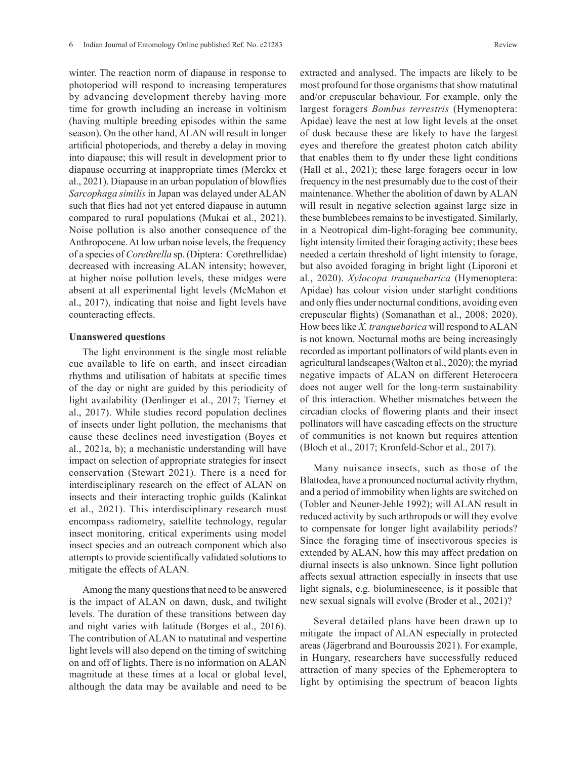winter. The reaction norm of diapause in response to photoperiod will respond to increasing temperatures by advancing development thereby having more time for growth including an increase in voltinism (having multiple breeding episodes within the same season). On the other hand, ALAN will result in longer artificial photoperiods, and thereby a delay in moving into diapause; this will result in development prior to diapause occurring at inappropriate times (Merckx et al., 2021). Diapause in an urban population of blowflies *Sarcophaga similis* in Japan was delayed under ALAN such that flies had not yet entered diapause in autumn compared to rural populations (Mukai et al., 2021). Noise pollution is also another consequence of the Anthropocene. At low urban noise levels, the frequency of a species of *Corethrella* sp. (Diptera: Corethrellidae) decreased with increasing ALAN intensity; however, at higher noise pollution levels, these midges were absent at all experimental light levels (McMahon et al., 2017), indicating that noise and light levels have counteracting effects.

### **Unanswered questions**

The light environment is the single most reliable cue available to life on earth, and insect circadian rhythms and utilisation of habitats at specific times of the day or night are guided by this periodicity of light availability (Denlinger et al., 2017; Tierney et al., 2017). While studies record population declines of insects under light pollution, the mechanisms that cause these declines need investigation (Boyes et al., 2021a, b); a mechanistic understanding will have impact on selection of appropriate strategies for insect conservation (Stewart 2021). There is a need for interdisciplinary research on the effect of ALAN on insects and their interacting trophic guilds (Kalinkat et al., 2021). This interdisciplinary research must encompass radiometry, satellite technology, regular insect monitoring, critical experiments using model insect species and an outreach component which also attempts to provide scientifically validated solutions to mitigate the effects of ALAN.

Among the many questions that need to be answered is the impact of ALAN on dawn, dusk, and twilight levels. The duration of these transitions between day and night varies with latitude (Borges et al., 2016). The contribution of ALAN to matutinal and vespertine light levels will also depend on the timing of switching on and off of lights. There is no information on ALAN magnitude at these times at a local or global level, although the data may be available and need to be extracted and analysed. The impacts are likely to be most profound for those organisms that show matutinal and/or crepuscular behaviour. For example, only the largest foragers *Bombus terrestris* (Hymenoptera: Apidae) leave the nest at low light levels at the onset of dusk because these are likely to have the largest eyes and therefore the greatest photon catch ability that enables them to fly under these light conditions (Hall et al., 2021); these large foragers occur in low frequency in the nest presumably due to the cost of their maintenance. Whether the abolition of dawn by ALAN will result in negative selection against large size in these bumblebees remains to be investigated. Similarly, in a Neotropical dim-light-foraging bee community, light intensity limited their foraging activity; these bees needed a certain threshold of light intensity to forage, but also avoided foraging in bright light (Liporoni et al., 2020). *Xylocopa tranquebarica* (Hymenoptera: Apidae) has colour vision under starlight conditions and only flies under nocturnal conditions, avoiding even crepuscular flights) (Somanathan et al., 2008; 2020). How bees like *X. tranquebarica* will respond to ALAN is not known. Nocturnal moths are being increasingly recorded as important pollinators of wild plants even in agricultural landscapes (Walton et al., 2020); the myriad negative impacts of ALAN on different Heterocera does not auger well for the long-term sustainability of this interaction. Whether mismatches between the circadian clocks of flowering plants and their insect pollinators will have cascading effects on the structure of communities is not known but requires attention (Bloch et al., 2017; Kronfeld-Schor et al., 2017).

Many nuisance insects, such as those of the Blattodea, have a pronounced nocturnal activity rhythm, and a period of immobility when lights are switched on (Tobler and Neuner-Jehle 1992); will ALAN result in reduced activity by such arthropods or will they evolve to compensate for longer light availability periods? Since the foraging time of insectivorous species is extended by ALAN, how this may affect predation on diurnal insects is also unknown. Since light pollution affects sexual attraction especially in insects that use light signals, e.g. bioluminescence, is it possible that new sexual signals will evolve (Broder et al., 2021)?

Several detailed plans have been drawn up to mitigate the impact of ALAN especially in protected areas (Jägerbrand and Bouroussis 2021). For example, in Hungary, researchers have successfully reduced attraction of many species of the Ephemeroptera to light by optimising the spectrum of beacon lights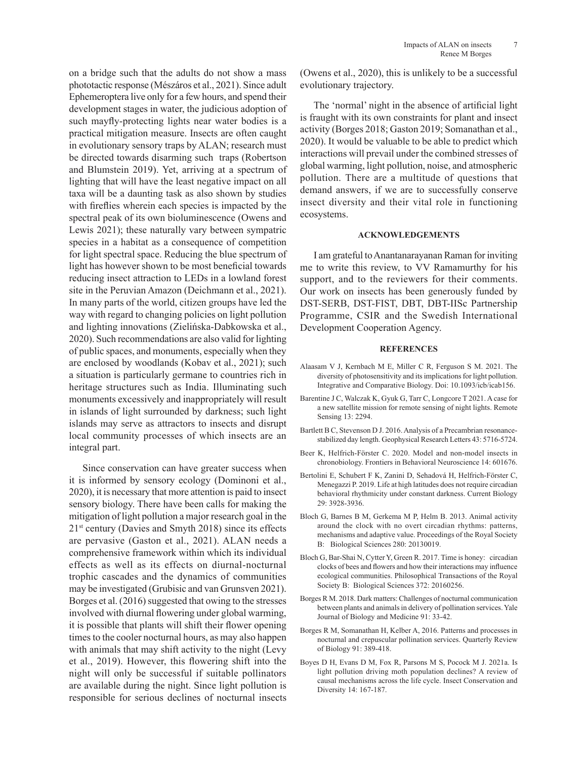on a bridge such that the adults do not show a mass phototactic response (Mészáros et al., 2021). Since adult Ephemeroptera live only for a few hours, and spend their development stages in water, the judicious adoption of such mayfly-protecting lights near water bodies is a practical mitigation measure. Insects are often caught in evolutionary sensory traps by ALAN; research must be directed towards disarming such traps (Robertson and Blumstein 2019). Yet, arriving at a spectrum of lighting that will have the least negative impact on all taxa will be a daunting task as also shown by studies with fireflies wherein each species is impacted by the spectral peak of its own bioluminescence (Owens and Lewis 2021); these naturally vary between sympatric species in a habitat as a consequence of competition for light spectral space. Reducing the blue spectrum of light has however shown to be most beneficial towards reducing insect attraction to LEDs in a lowland forest site in the Peruvian Amazon (Deichmann et al., 2021). In many parts of the world, citizen groups have led the way with regard to changing policies on light pollution and lighting innovations (Zielińska-Dabkowska et al., 2020). Such recommendations are also valid for lighting of public spaces, and monuments, especially when they are enclosed by woodlands (Kobav et al., 2021); such a situation is particularly germane to countries rich in heritage structures such as India. Illuminating such monuments excessively and inappropriately will result in islands of light surrounded by darkness; such light islands may serve as attractors to insects and disrupt local community processes of which insects are an integral part.

Since conservation can have greater success when it is informed by sensory ecology (Dominoni et al., 2020), it is necessary that more attention is paid to insect sensory biology. There have been calls for making the mitigation of light pollution a major research goal in the  $21<sup>st</sup>$  century (Davies and Smyth 2018) since its effects are pervasive (Gaston et al., 2021). ALAN needs a comprehensive framework within which its individual effects as well as its effects on diurnal-nocturnal trophic cascades and the dynamics of communities may be investigated (Grubisic and van Grunsven 2021). Borges et al. (2016) suggested that owing to the stresses involved with diurnal flowering under global warming, it is possible that plants will shift their flower opening times to the cooler nocturnal hours, as may also happen with animals that may shift activity to the night (Levy et al., 2019). However, this flowering shift into the night will only be successful if suitable pollinators are available during the night. Since light pollution is responsible for serious declines of nocturnal insects (Owens et al., 2020), this is unlikely to be a successful evolutionary trajectory.

The 'normal' night in the absence of artificial light is fraught with its own constraints for plant and insect activity (Borges 2018; Gaston 2019; Somanathan et al., 2020). It would be valuable to be able to predict which interactions will prevail under the combined stresses of global warming, light pollution, noise, and atmospheric pollution. There are a multitude of questions that demand answers, if we are to successfully conserve insect diversity and their vital role in functioning ecosystems.

#### **ACKNOWLEDGEMENTS**

I am grateful to Anantanarayanan Raman for inviting me to write this review, to VV Ramamurthy for his support, and to the reviewers for their comments. Our work on insects has been generously funded by DST-SERB, DST-FIST, DBT, DBT-IISc Partnership Programme, CSIR and the Swedish International Development Cooperation Agency.

#### **REFERENCES**

- Alaasam V J, Kernbach M E, Miller C R, Ferguson S M. 2021. The diversity of photosensitivity and its implications for light pollution. Integrative and Comparative Biology. Doi: 10.1093/icb/icab156.
- Barentine J C, Walczak K, Gyuk G, Tarr C, Longcore T 2021. A case for a new satellite mission for remote sensing of night lights. Remote Sensing 13: 2294.
- Bartlett B C, Stevenson D J. 2016. Analysis of a Precambrian resonancestabilized day length. Geophysical Research Letters 43: 5716-5724.
- Beer K, Helfrich-Förster C. 2020. Model and non-model insects in chronobiology. Frontiers in Behavioral Neuroscience 14: 601676.
- Bertolini E, Schubert F K, Zanini D, Sehadová H, Helfrich-Förster C, Menegazzi P. 2019. Life at high latitudes does not require circadian behavioral rhythmicity under constant darkness. Current Biology 29: 3928-3936.
- Bloch G, Barnes B M, Gerkema M P, Helm B. 2013. Animal activity around the clock with no overt circadian rhythms: patterns, mechanisms and adaptive value. Proceedings of the Royal Society B: Biological Sciences 280: 20130019.
- Bloch G, Bar-Shai N, Cytter Y, Green R. 2017. Time is honey: circadian clocks of bees and flowers and how their interactions may influence ecological communities. Philosophical Transactions of the Royal Society B: Biological Sciences 372: 20160256.
- Borges R M. 2018. Dark matters: Challenges of nocturnal communication between plants and animals in delivery of pollination services. Yale Journal of Biology and Medicine 91: 33-42.
- Borges R M, Somanathan H, Kelber A, 2016. Patterns and processes in nocturnal and crepuscular pollination services. Quarterly Review of Biology 91: 389-418.
- Boyes D H, Evans D M, Fox R, Parsons M S, Pocock M J. 2021a. Is light pollution driving moth population declines? A review of causal mechanisms across the life cycle. Insect Conservation and Diversity 14: 167-187.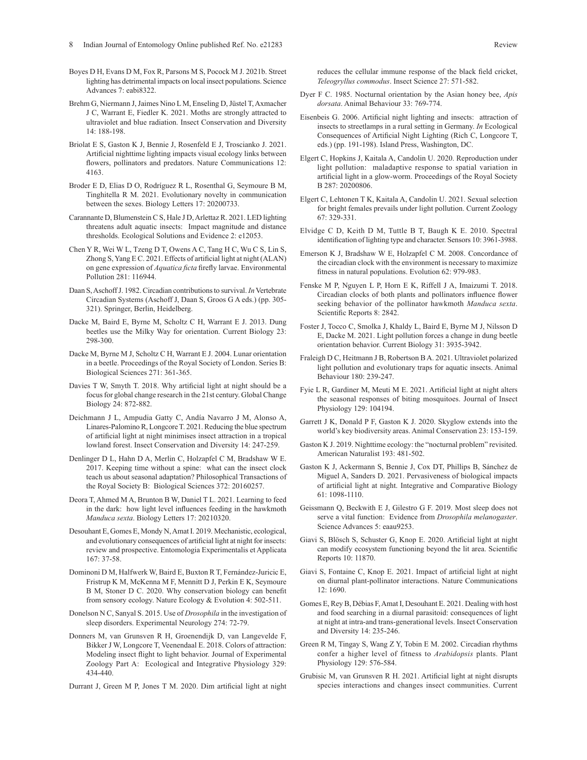- Boyes D H, Evans D M, Fox R, Parsons M S, Pocock M J. 2021b. Street lighting has detrimental impacts on local insect populations. Science Advances 7: eabi8322.
- Brehm G, Niermann J, Jaimes Nino L M, Enseling D, Jüstel T, Axmacher J C, Warrant E, Fiedler K. 2021. Moths are strongly attracted to ultraviolet and blue radiation. Insect Conservation and Diversity 14: 188-198.
- Briolat E S, Gaston K J, Bennie J, Rosenfeld E J, Troscianko J. 2021. Artificial nighttime lighting impacts visual ecology links between flowers, pollinators and predators. Nature Communications 12: 4163.
- Broder E D, Elias D O, Rodríguez R L, Rosenthal G, Seymoure B M, Tinghitella R M. 2021. Evolutionary novelty in communication between the sexes. Biology Letters 17: 20200733.
- Carannante D, Blumenstein C S, Hale J D, Arlettaz R. 2021. LED lighting threatens adult aquatic insects: Impact magnitude and distance thresholds. Ecological Solutions and Evidence 2: e12053.
- Chen Y R, Wei W L, Tzeng D T, Owens A C, Tang H C, Wu C S, Lin S, Zhong S, Yang E C. 2021. Effects of artificial light at night (ALAN) on gene expression of *Aquatica ficta* firefly larvae. Environmental Pollution 281: 116944.
- Daan S, Aschoff J. 1982. Circadian contributions to survival. *In* Vertebrate Circadian Systems (Aschoff J, Daan S, Groos G A eds.) (pp. 305- 321). Springer, Berlin, Heidelberg.
- Dacke M, Baird E, Byrne M, Scholtz C H, Warrant E J. 2013. Dung beetles use the Milky Way for orientation. Current Biology 23: 298-300.
- Dacke M, Byrne M J, Scholtz C H, Warrant E J. 2004. Lunar orientation in a beetle. Proceedings of the Royal Society of London. Series B: Biological Sciences 271: 361-365.
- Davies T W, Smyth T. 2018. Why artificial light at night should be a focus for global change research in the 21st century. Global Change Biology 24: 872-882.
- Deichmann J L, Ampudia Gatty C, Andía Navarro J M, Alonso A, Linares-Palomino R, Longcore T. 2021. Reducing the blue spectrum of artificial light at night minimises insect attraction in a tropical lowland forest. Insect Conservation and Diversity 14: 247-259.
- Denlinger D L, Hahn D A, Merlin C, Holzapfel C M, Bradshaw W E. 2017. Keeping time without a spine: what can the insect clock teach us about seasonal adaptation? Philosophical Transactions of the Royal Society B: Biological Sciences 372: 20160257.
- Deora T, Ahmed M A, Brunton B W, Daniel T L. 2021. Learning to feed in the dark: how light level influences feeding in the hawkmoth *Manduca sexta*. Biology Letters 17: 20210320.
- Desouhant E, Gomes E, Mondy N, Amat I. 2019. Mechanistic, ecological, and evolutionary consequences of artificial light at night for insects: review and prospective. Entomologia Experimentalis et Applicata 167: 37-58.
- Dominoni D M, Halfwerk W, Baird E, Buxton R T, Fernández-Juricic E, Fristrup K M, McKenna M F, Mennitt D J, Perkin E K, Seymoure B M, Stoner D C. 2020. Why conservation biology can benefit from sensory ecology. Nature Ecology & Evolution 4: 502-511.
- Donelson N C, Sanyal S. 2015. Use of *Drosophila* in the investigation of sleep disorders. Experimental Neurology 274: 72-79.
- Donners M, van Grunsven R H, Groenendijk D, van Langevelde F, Bikker J W, Longcore T, Veenendaal E. 2018. Colors of attraction: Modeling insect flight to light behavior. Journal of Experimental Zoology Part A: Ecological and Integrative Physiology 329: 434-440.
- Durrant J, Green M P, Jones T M. 2020. Dim artificial light at night

reduces the cellular immune response of the black field cricket, *Teleogryllus commodus*. Insect Science 27: 571-582.

- Dyer F C. 1985. Nocturnal orientation by the Asian honey bee, *Apis dorsata*. Animal Behaviour 33: 769-774.
- Eisenbeis G. 2006. Artificial night lighting and insects: attraction of insects to streetlamps in a rural setting in Germany. *In* Ecological Consequences of Artificial Night Lighting (Rich C, Longcore T, eds.) (pp. 191-198). Island Press, Washington, DC.
- Elgert C, Hopkins J, Kaitala A, Candolin U. 2020. Reproduction under light pollution: maladaptive response to spatial variation in artificial light in a glow-worm. Proceedings of the Royal Society B 287: 20200806.
- Elgert C, Lehtonen T K, Kaitala A, Candolin U. 2021. Sexual selection for bright females prevails under light pollution. Current Zoology 67: 329-331.
- Elvidge C D, Keith D M, Tuttle B T, Baugh K E. 2010. Spectral identification of lighting type and character. Sensors 10: 3961-3988.
- Emerson K J, Bradshaw W E, Holzapfel C M. 2008. Concordance of the circadian clock with the environment is necessary to maximize fitness in natural populations. Evolution 62: 979-983.
- Fenske M P, Nguyen L P, Horn E K, Riffell J A, Imaizumi T. 2018. Circadian clocks of both plants and pollinators influence flower seeking behavior of the pollinator hawkmoth *Manduca sexta*. Scientific Reports 8: 2842.
- Foster J, Tocco C, Smolka J, Khaldy L, Baird E, Byrne M J, Nilsson D E, Dacke M. 2021. Light pollution forces a change in dung beetle orientation behavior. Current Biology 31: 3935-3942.
- Fraleigh D C, Heitmann J B, Robertson B A. 2021. Ultraviolet polarized light pollution and evolutionary traps for aquatic insects. Animal Behaviour 180: 239-247.
- Fyie L R, Gardiner M, Meuti M E. 2021. Artificial light at night alters the seasonal responses of biting mosquitoes. Journal of Insect Physiology 129: 104194.
- Garrett J K, Donald P F, Gaston K J. 2020. Skyglow extends into the world's key biodiversity areas. Animal Conservation 23: 153-159.
- Gaston K J. 2019. Nighttime ecology: the "nocturnal problem" revisited. American Naturalist 193: 481-502.
- Gaston K J, Ackermann S, Bennie J, Cox DT, Phillips B, Sánchez de Miguel A, Sanders D. 2021. Pervasiveness of biological impacts of artificial light at night. Integrative and Comparative Biology 61: 1098-1110.
- Geissmann Q, Beckwith E J, Gilestro G F. 2019. Most sleep does not serve a vital function: Evidence from *Drosophila melanogaster*. Science Advances 5: eaau9253.
- Giavi S, Blösch S, Schuster G, Knop E. 2020. Artificial light at night can modify ecosystem functioning beyond the lit area. Scientific Reports 10: 11870.
- Giavi S, Fontaine C, Knop E. 2021. Impact of artificial light at night on diurnal plant-pollinator interactions. Nature Communications 12: 1690.
- Gomes E, Rey B, Débias F, Amat I, Desouhant E. 2021. Dealing with host and food searching in a diurnal parasitoid: consequences of light at night at intra-and trans-generational levels. Insect Conservation and Diversity 14: 235-246.
- Green R M, Tingay S, Wang Z Y, Tobin E M. 2002. Circadian rhythms confer a higher level of fitness to *Arabidopsis* plants. Plant Physiology 129: 576-584.
- Grubisic M, van Grunsven R H. 2021. Artificial light at night disrupts species interactions and changes insect communities. Current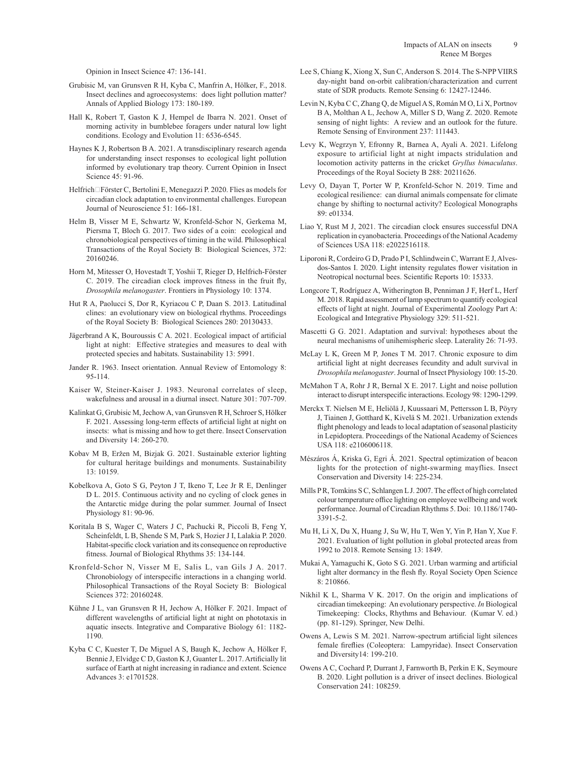Opinion in Insect Science 47: 136-141.

- Grubisic M, van Grunsven R H, Kyba C, Manfrin A, Hölker, F., 2018. Insect declines and agroecosystems: does light pollution matter? Annals of Applied Biology 173: 180-189.
- Hall K, Robert T, Gaston K J, Hempel de Ibarra N. 2021. Onset of morning activity in bumblebee foragers under natural low light conditions. Ecology and Evolution 11: 6536-6545.
- Haynes K J, Robertson B A. 2021. A transdisciplinary research agenda for understanding insect responses to ecological light pollution informed by evolutionary trap theory. Current Opinion in Insect Science 45: 91-96.
- Helfrich□Förster C, Bertolini E, Menegazzi P. 2020. Flies as models for circadian clock adaptation to environmental challenges. European Journal of Neuroscience 51: 166-181.
- Helm B, Visser M E, Schwartz W, Kronfeld-Schor N, Gerkema M, Piersma T, Bloch G. 2017. Two sides of a coin: ecological and chronobiological perspectives of timing in the wild. Philosophical Transactions of the Royal Society B: Biological Sciences, 372: 20160246.
- Horn M, Mitesser O, Hovestadt T, Yoshii T, Rieger D, Helfrich-Förster C. 2019. The circadian clock improves fitness in the fruit fly, *Drosophila melanogaster*. Frontiers in Physiology 10: 1374.
- Hut R A, Paolucci S, Dor R, Kyriacou C P, Daan S. 2013. Latitudinal clines: an evolutionary view on biological rhythms. Proceedings of the Royal Society B: Biological Sciences 280: 20130433.
- Jägerbrand A K, Bouroussis C A. 2021. Ecological impact of artificial light at night: Effective strategies and measures to deal with protected species and habitats. Sustainability 13: 5991.
- Jander R. 1963. Insect orientation. Annual Review of Entomology 8: 95-114.
- Kaiser W, Steiner-Kaiser J. 1983. Neuronal correlates of sleep, wakefulness and arousal in a diurnal insect. Nature 301: 707-709.
- Kalinkat G, Grubisic M, Jechow A, van Grunsven R H, Schroer S, Hölker F. 2021. Assessing long-term effects of artificial light at night on insects: what is missing and how to get there. Insect Conservation and Diversity 14: 260-270.
- Kobav M B, Eržen M, Bizjak G. 2021. Sustainable exterior lighting for cultural heritage buildings and monuments. Sustainability 13: 10159.
- Kobelkova A, Goto S G, Peyton J T, Ikeno T, Lee Jr R E, Denlinger D L. 2015. Continuous activity and no cycling of clock genes in the Antarctic midge during the polar summer. Journal of Insect Physiology 81: 90-96.
- Koritala B S, Wager C, Waters J C, Pachucki R, Piccoli B, Feng Y, Scheinfeldt, L B, Shende S M, Park S, Hozier J I, Lalakia P. 2020. Habitat-specific clock variation and its consequence on reproductive fitness. Journal of Biological Rhythms 35: 134-144.
- Kronfeld-Schor N, Visser M E, Salis L, van Gils J A. 2017. Chronobiology of interspecific interactions in a changing world. Philosophical Transactions of the Royal Society B: Biological Sciences 372: 20160248.
- Kühne J L, van Grunsven R H, Jechow A, Hölker F. 2021. Impact of different wavelengths of artificial light at night on phototaxis in aquatic insects. Integrative and Comparative Biology 61: 1182- 1190.
- Kyba C C, Kuester T, De Miguel A S, Baugh K, Jechow A, Hölker F, Bennie J, Elvidge C D, Gaston K J, Guanter L. 2017. Artificially lit surface of Earth at night increasing in radiance and extent. Science Advances 3: e1701528.
- Lee S, Chiang K, Xiong X, Sun C, Anderson S. 2014. The S-NPP VIIRS day-night band on-orbit calibration/characterization and current state of SDR products. Remote Sensing 6: 12427-12446.
- Levin N, Kyba C C, Zhang Q, de Miguel A S, Román M O, Li X, Portnov B A, Molthan A L, Jechow A, Miller S D, Wang Z. 2020. Remote sensing of night lights: A review and an outlook for the future. Remote Sensing of Environment 237: 111443.
- Levy K, Wegrzyn Y, Efronny R, Barnea A, Ayali A. 2021. Lifelong exposure to artificial light at night impacts stridulation and locomotion activity patterns in the cricket *Gryllus bimaculatus*. Proceedings of the Royal Society B 288: 20211626.
- Levy O, Dayan T, Porter W P, Kronfeld-Schor N. 2019. Time and ecological resilience: can diurnal animals compensate for climate change by shifting to nocturnal activity? Ecological Monographs 89: e01334.
- Liao Y, Rust M J, 2021. The circadian clock ensures successful DNA replication in cyanobacteria. Proceedings of the National Academy of Sciences USA 118: e2022516118.
- Liporoni R, Cordeiro G D, Prado P I, Schlindwein C, Warrant E J, Alvesdos-Santos I. 2020. Light intensity regulates flower visitation in Neotropical nocturnal bees. Scientific Reports 10: 15333.
- Longcore T, Rodríguez A, Witherington B, Penniman J F, Herf L, Herf M. 2018. Rapid assessment of lamp spectrum to quantify ecological effects of light at night. Journal of Experimental Zoology Part A: Ecological and Integrative Physiology 329: 511-521.
- Mascetti G G. 2021. Adaptation and survival: hypotheses about the neural mechanisms of unihemispheric sleep. Laterality 26: 71-93.
- McLay L K, Green M P, Jones T M. 2017. Chronic exposure to dim artificial light at night decreases fecundity and adult survival in *Drosophila melanogaster*. Journal of Insect Physiology 100: 15-20.
- McMahon T A, Rohr J R, Bernal X E. 2017. Light and noise pollution interact to disrupt interspecific interactions. Ecology 98: 1290-1299.
- Merckx T. Nielsen M E, Heliölä J, Kuussaari M, Pettersson L B, Pöyry J, Tiainen J, Gotthard K, Kivelä S M. 2021. Urbanization extends flight phenology and leads to local adaptation of seasonal plasticity in Lepidoptera. Proceedings of the National Academy of Sciences USA 118: e2106006118.
- Mészáros Á, Kriska G, Egri Á. 2021. Spectral optimization of beacon lights for the protection of night-swarming mayflies. Insect Conservation and Diversity 14: 225-234.
- Mills P R, Tomkins S C, Schlangen L J. 2007. The effect of high correlated colour temperature office lighting on employee wellbeing and work performance. Journal of Circadian Rhythms 5. Doi: 10.1186/1740- 3391-5-2.
- Mu H, Li X, Du X, Huang J, Su W, Hu T, Wen Y, Yin P, Han Y, Xue F. 2021. Evaluation of light pollution in global protected areas from 1992 to 2018. Remote Sensing 13: 1849.
- Mukai A, Yamaguchi K, Goto S G. 2021. Urban warming and artificial light alter dormancy in the flesh fly. Royal Society Open Science 8: 210866.
- Nikhil K L, Sharma V K. 2017. On the origin and implications of circadian timekeeping: An evolutionary perspective. *In* Biological Timekeeping: Clocks, Rhythms and Behaviour. (Kumar V. ed.) (pp. 81-129). Springer, New Delhi.
- Owens A, Lewis S M. 2021. Narrow-spectrum artificial light silences female fireflies (Coleoptera: Lampyridae). Insect Conservation and Diversity14: 199-210.
- Owens A C, Cochard P, Durrant J, Farnworth B, Perkin E K, Seymoure B. 2020. Light pollution is a driver of insect declines. Biological Conservation 241: 108259.